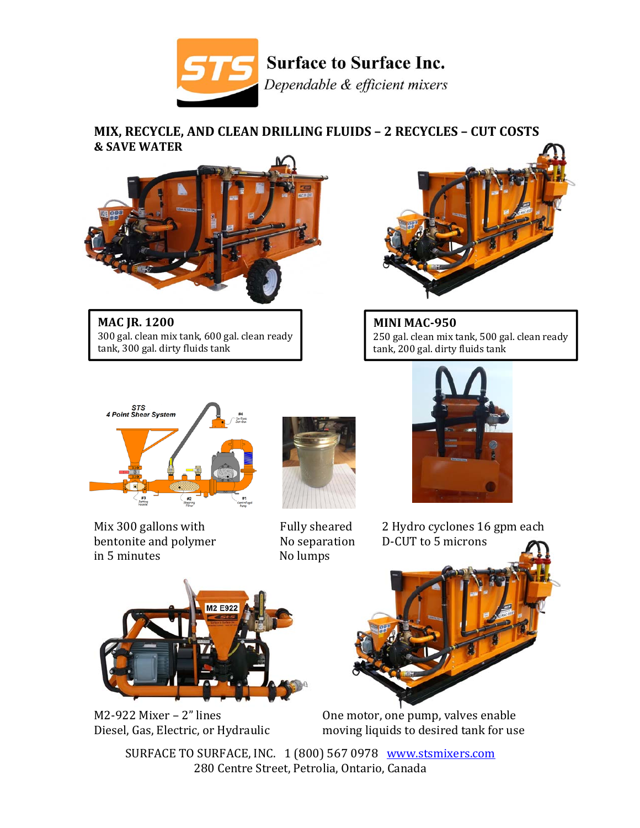

## **MIX, RECYCLE, AND CLEAN DRILLING FLUIDS – 2 RECYCLES – CUT COSTS & SAVE WATER**



**MAC JR. 1200** 300 gal. clean mix tank, 600 gal. clean ready tank, 300 gal. dirty fluids tank



**MINI MAC‐950** 250 gal. clean mix tank, 500 gal. clean ready tank, 200 gal. dirty fluids tank



bentonite and polymer No separation D‐CUT to 5 microns in 5 minutes No lumps





Mix 300 gallons with  $\qquad \qquad$  Fully sheared  $\qquad$  2 Hydro cyclones 16 gpm each





M2-922 Mixer – 2" lines One motor, one pump, valves enable Diesel, Gas, Electric, or Hydraulic moving liquids to desired tank for use

SURFACE TO SURFACE, INC. 1 (800) 567 0978 www.stsmixers.com 280 Centre Street, Petrolia, Ontario, Canada